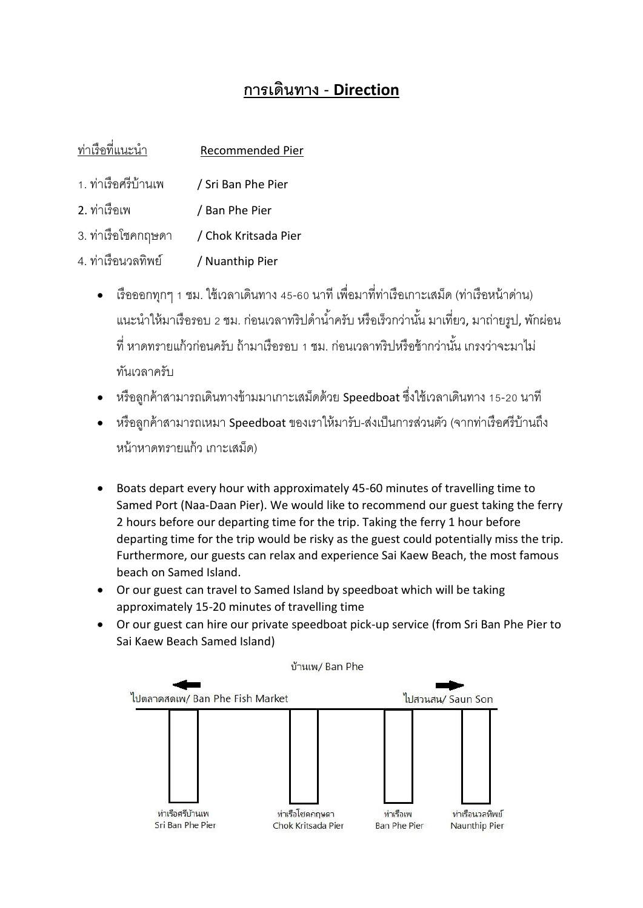## **การเดินทาง - Direction**

| ท่าเรือที่แนะนำ     | Recommended Pier     |
|---------------------|----------------------|
|                     |                      |
| 1. ท่าเรือศรีบ้านเพ | / Sri Ban Phe Pier   |
| 2. ท่าเรือเพ        | / Ban Phe Pier       |
| 3. ท่าเรือโชคกฤษดา  | / Chok Kritsada Pier |
| 4. ท่าเรือนวลทิพย์  | / Nuanthip Pier      |

- เรือออกทุกๆ 1 ชม. ใช้เวลาเดินทาง 45-60 นาที เพื่อมาที่ท่าเรือเกาะเสม็ด (ท่าเรือหน้าด่าน) แนะนำให้มาเรือรอบ 2 ชม. ก่อนเวลาทริปดำน้ำครับ หรือเร็วกว่านั้น มาเที่ยว, มาถ่ายรูป, พักผ่อน ู้ที่ หาดทรายแก้วก่อนครับ ถ้ามาเรือรอบ 1 ชม. ก่อนเวลาทริปหรือช้ากว่านั้น เกรงว่าจะมาไม่ ทันเวลาครับ
- หรือลูกค้าสามารถเดินทางข้ามมาเกาะเสม็ดด้วย Speedboat ซึ่งใช้เวลาเดินทาง 15-20 นาที
- หรือลูกค้าสามารถเหมา Speedboat ของเราให้มารับ-ส่งเป็นการส่วนตัว (จากท่าเรือศรีบ้านถึง หน้าหาดทรายแก้ว เกาะเสม็ด)
- Boats depart every hour with approximately 45-60 minutes of travelling time to Samed Port (Naa-Daan Pier). We would like to recommend our guest taking the ferry 2 hours before our departing time for the trip. Taking the ferry 1 hour before departing time for the trip would be risky as the guest could potentially miss the trip. Furthermore, our guests can relax and experience Sai Kaew Beach, the most famous beach on Samed Island.
- Or our guest can travel to Samed Island by speedboat which will be taking approximately 15-20 minutes of travelling time
- Or our guest can hire our private speedboat pick-up service (from Sri Ban Phe Pier to Sai Kaew Beach Samed Island)